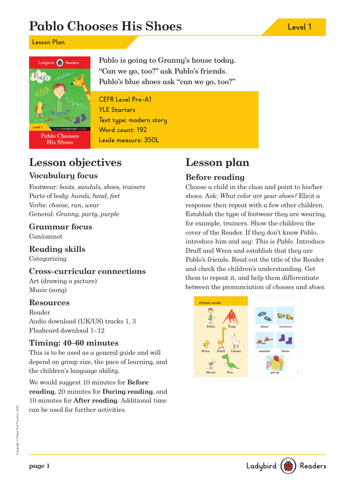# **Pablo Chooses His Shoes Level 1**

**Lesson Plan**



**Pablo Chooses His Shoes** 

Pablo is going to Granny's house today. "Can we go, too?" ask Pablo's friends. Pablo's blue shoes ask "can we go, too?"

**CEFR Level Pre-A1 YLE Starters Text type: modern story Word count: 192 Lexile measure: 350L**

# **Lesson objectives**

## **Vocabulary focus**

Footwear: boots, sandals, shoes, trainers Parts of body: hands, head, feet Verbs: choose, run, wear General: Granny, party, purple

#### **Grammar focus** Can/cannot

**Reading skills** Categorizing

### **Cross-curricular connections**

Art (drawing a picture) Music (song)

#### **Resources**

Reader Audio download (UK/US) tracks 1, 3 Flashcard download 1–12

### **Timing: 40–60 minutes**

This is to be used as a general guide and will depend on group size, the pace of learning, and the children's language ability.

We would suggest 10 minutes for **Before reading**, 20 minutes for **During reading**, and 10 minutes for **After reading**. Additional time can be used for further activities.

# **Lesson plan**

## **Before reading**

Choose a child in the class and point to his/her shoes. Ask: What color are your shoes? Elicit a response then repeat with a few other children. Establish the type of footwear they are wearing, for example, trainers. Show the children the cover of the Reader. If they don't know Pablo, introduce him and say: This is Pablo. Introduce Draff and Wren and establish that they are Pablo's friends. Read out the title of the Reader and check the children's understanding. Get them to repeat it, and help them differentiate between the pronunciation of chooses and shoes.